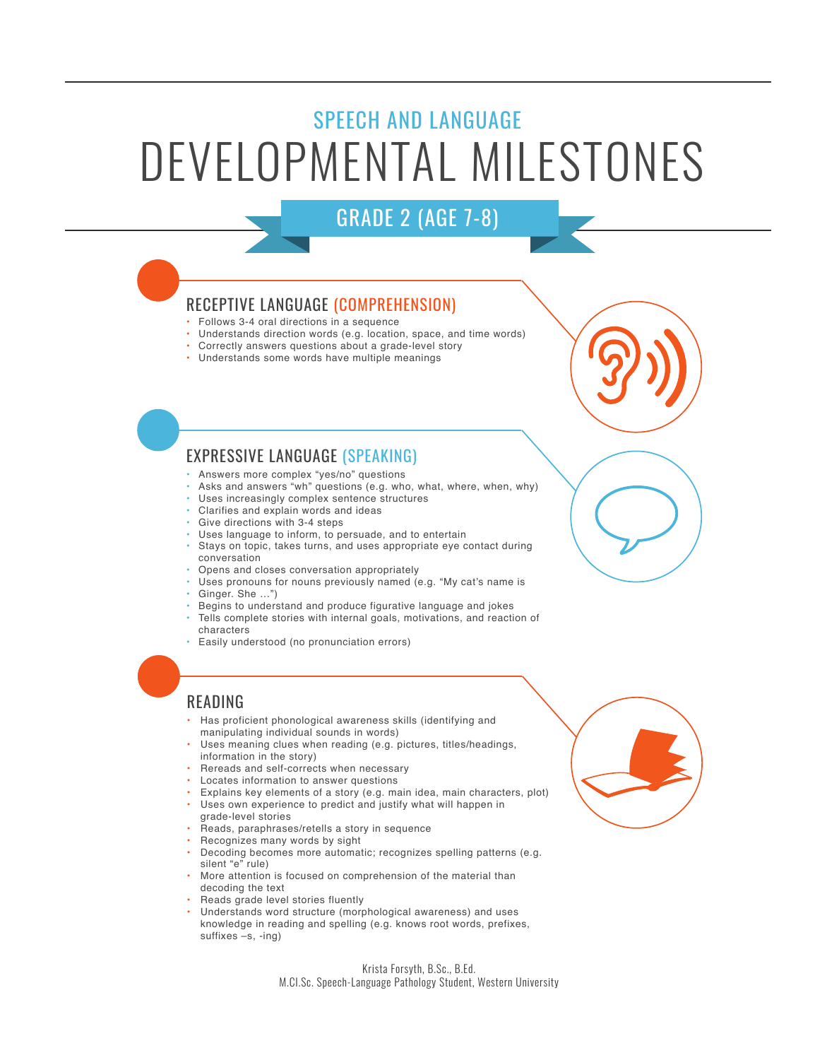# SPEECH AND LANGUAGE DEVELOPMENTAL MILESTONES

# GRADE 2 (AGE 7-8)

## RECEPTIVE LANGUAGE (COMPREHENSION)

- Follows 3-4 oral directions in a sequence
- Understands direction words (e.g. location, space, and time words)
- Correctly answers questions about a grade-level story
- Understands some words have multiple meanings

# EXPRESSIVE LANGUAGE (SPEAKING)

- Answers more complex "yes/no" questions
- Asks and answers "wh" questions (e.g. who, what, where, when, why)
- Uses increasingly complex sentence structures
- Clarifies and explain words and ideas
- Give directions with 3-4 steps
- Uses language to inform, to persuade, and to entertain
- Stays on topic, takes turns, and uses appropriate eye contact during conversation
- Opens and closes conversation appropriately
- Uses pronouns for nouns previously named (e.g. "My cat's name is
- Ginger. She …")
- Begins to understand and produce figurative language and jokes
- Tells complete stories with internal goals, motivations, and reaction of characters
- Easily understood (no pronunciation errors)

# READING

- Has proficient phonological awareness skills (identifying and manipulating individual sounds in words)
- Uses meaning clues when reading (e.g. pictures, titles/headings, information in the story)
- Rereads and self-corrects when necessary
- Locates information to answer questions
- • Explains key elements of a story (e.g. main idea, main characters, plot) Uses own experience to predict and justify what will happen in grade-level stories
- Reads, paraphrases/retells a story in sequence
- Recognizes many words by sight
- Decoding becomes more automatic; recognizes spelling patterns (e.g. silent "e" rule)
- More attention is focused on comprehension of the material than decoding the text
- Reads grade level stories fluently
- Understands word structure (morphological awareness) and uses knowledge in reading and spelling (e.g. knows root words, prefixes, suffixes –s, -ing)

#### Krista Forsyth, B.Sc., B.Ed. M.CI.Sc. Speech-Language Pathology Student, Western University